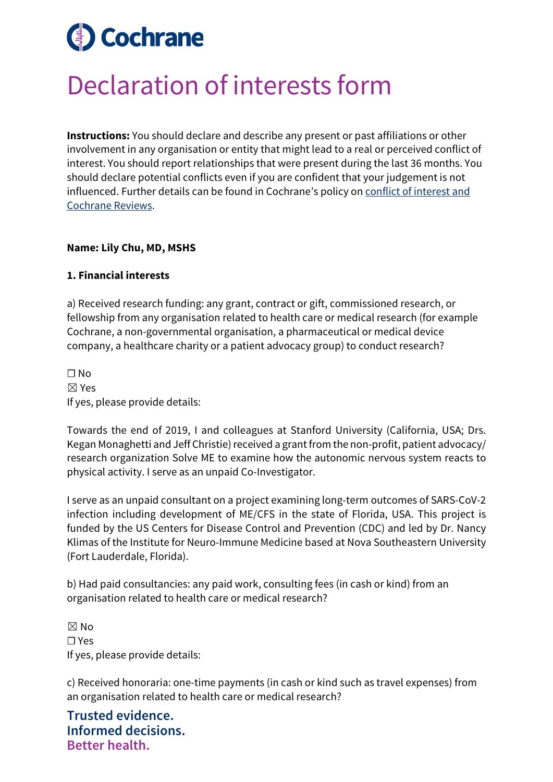# **Cochrane**

## Declaration of interests form

**Instructions:** You should declare and describe any present or past affiliations or other involvement in any organisation or entity that might lead to a real or perceived conflict of interest. You should report relationships that were present during the last 36 months. You should declare potential conflicts even if you are confident that your judgement is not influenced. Further details can be found in Cochrane's policy on [conflict of interest and](https://documentation.cochrane.org/display/EPPR/Policy%3A+conflicts+of+interest+and+Cochrane+Reviews)  [Cochrane Reviews.](https://documentation.cochrane.org/display/EPPR/Policy%3A+conflicts+of+interest+and+Cochrane+Reviews)

#### **Name: Lily Chu, MD, MSHS**

#### **1. Financial interests**

a) Received research funding: any grant, contract or gift, commissioned research, or fellowship from any organisation related to health care or medical research (for example Cochrane, a non-governmental organisation, a pharmaceutical or medical device company, a healthcare charity or a patient advocacy group) to conduct research?

 $\Box$  No ☒ Yes If yes, please provide details:

Towards the end of 2019, I and colleagues at Stanford University (California, USA; Drs. Kegan Monaghetti and Jeff Christie) received a grant from the non-profit, patient advocacy/ research organization Solve ME to examine how the autonomic nervous system reacts to physical activity. I serve as an unpaid Co-Investigator.

I serve as an unpaid consultant on a project examining long-term outcomes of SARS-CoV-2 infection including development of ME/CFS in the state of Florida, USA. This project is funded by the US Centers for Disease Control and Prevention (CDC) and led by Dr. Nancy Klimas of the Institute for Neuro-Immune Medicine based at Nova Southeastern University (Fort Lauderdale, Florida).

b) Had paid consultancies: any paid work, consulting fees (in cash or kind) from an organisation related to health care or medical research?

☒ No ☐ Yes If yes, please provide details:

c) Received honoraria: one-time payments (in cash or kind such as travel expenses) from an organisation related to health care or medical research?

**Trusted evidence. Informed decisions. Better health.**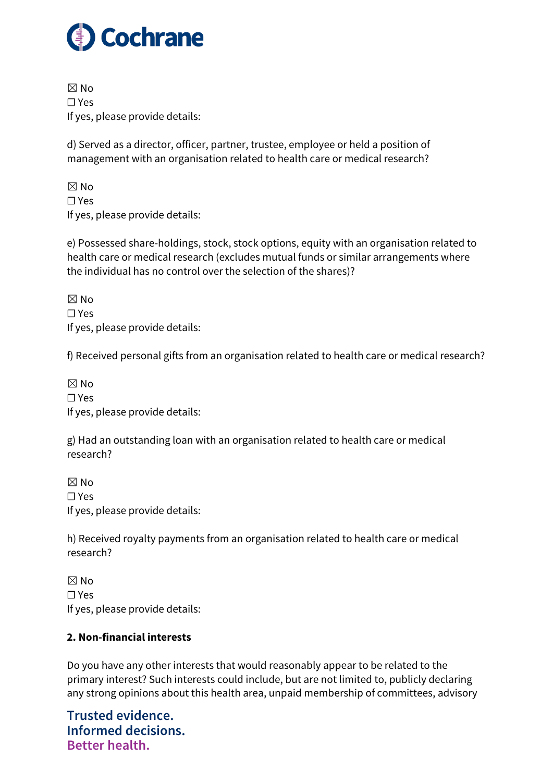

 $\boxtimes$  No ☐ Yes If yes, please provide details:

d) Served as a director, officer, partner, trustee, employee or held a position of management with an organisation related to health care or medical research?

 $\boxtimes$  No ☐ Yes If yes, please provide details:

e) Possessed share-holdings, stock, stock options, equity with an organisation related to health care or medical research (excludes mutual funds or similar arrangements where the individual has no control over the selection of the shares)?

 $\boxtimes$  No ☐ Yes If yes, please provide details:

f) Received personal gifts from an organisation related to health care or medical research?

 $\boxtimes$  No ☐ Yes If yes, please provide details:

g) Had an outstanding loan with an organisation related to health care or medical research?

☒ No ☐ Yes If yes, please provide details:

h) Received royalty payments from an organisation related to health care or medical research?

 $\boxtimes$  No ☐ Yes If yes, please provide details:

### **2. Non-financial interests**

Do you have any other interests that would reasonably appear to be related to the primary interest? Such interests could include, but are not limited to, publicly declaring any strong opinions about this health area, unpaid membership of committees, advisory

**Trusted evidence. Informed decisions. Better health.**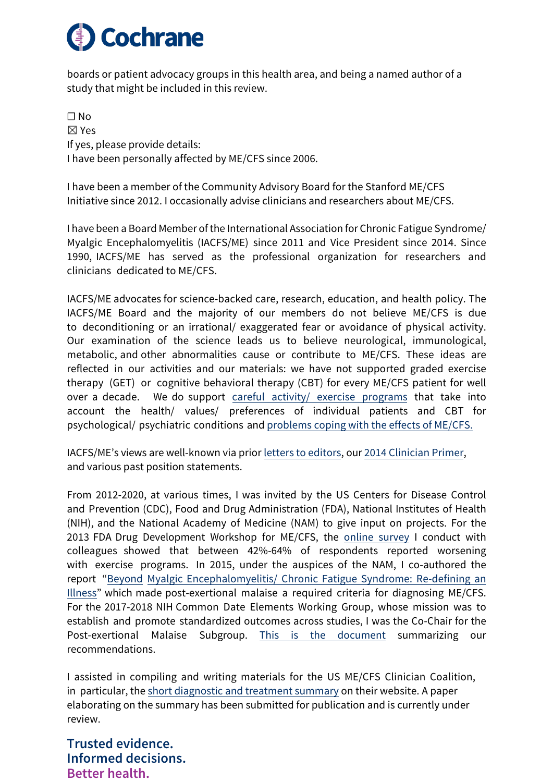

boards or patient advocacy groups in this health area, and being a named author of a study that might be included in this review.

☐ No ☒ Yes If yes, please provide details: I have been personally affected by ME/CFS since 2006.

I have been a member of the Community Advisory Board for the Stanford ME/CFS Initiative since 2012. I occasionally advise clinicians and researchers about ME/CFS.

I have been a Board Member of the International Association for Chronic Fatigue Syndrome/ Myalgic Encephalomyelitis (IACFS/ME) since 2011 and Vice President since 2014. Since 1990, IACFS/ME has served as the professional organization for researchers and clinicians dedicated to ME/CFS.

IACFS/ME advocates for science-backed care, research, education, and health policy. The IACFS/ME Board and the majority of our members do not believe ME/CFS is due to deconditioning or an irrational/ exaggerated fear or avoidance of physical activity. Our examination of the science leads us to believe neurological, immunological, metabolic, and other abnormalities cause or contribute to ME/CFS. These ideas are reflected in our activities and our materials: we have not supported graded exercise therapy (GET) or cognitive behavioral therapy (CBT) for every ME/CFS patient for well over a decade. We do support [careful activity/ exercise programs](https://growthzonesitesprod.azureedge.net/wp-content/uploads/sites/1869/2021/01/CFS-and-Exercise-Conundrum-Bateman.pdf) that take into account the health/ values/ preferences of individual patients and CBT for psychological/ psychiatric conditions and problems coping with the effects of ME/CFS.

IACFS/ME's views are well-known via prior [letters to editors,](https://onlinelibrary.wiley.com/doi/abs/10.1111/j.1365-2362.2012.02723.x) our [2014 Clinician Primer,](https://growthzonesitesprod.azureedge.net/wp-content/uploads/sites/1869/2020/10/Primer_Post_2014_conference.pdf) and various past position statements.

From 2012-2020, at various times, I was invited by the US Centers for Disease Control and Prevention (CDC), Food and Drug Administration (FDA), National Institutes of Health (NIH), and the National Academy of Medicine (NAM) to give input on projects. For the 2013 FDA Drug Development Workshop for ME/CFS, the [online survey](https://link.springer.com/article/10.1007/s11606-019-05375-y) I conduct with colleagues showed that between 42%-64% of respondents reported worsening with exercise programs. In 2015, under the auspices of the NAM, I co-authored the report "Beyond Myalgic Encephalomyelitis/ Chronic Fatigue Syndrome: Re-def[ining an](https://www.nap.edu/catalog/19012/beyond-myalgic-encephalomyelitischronic-fatigue-syndrome-redefining-an-illness)  Illness" which made [post-exertional malaise a required criteria for](https://www.nap.edu/catalog/19012/beyond-myalgic-encephalomyelitischronic-fatigue-syndrome-redefining-an-illness) diagnosing ME/CFS. For the 2017-2018 NIH Common Date Elements Working Group, whose mission was to establish and promote standardized outcomes across studies, I was the Co-Chair for the Post-exertional Malaise Subgroup. [This is the document](https://www.commondataelements.ninds.nih.gov/sites/nindscde/files/Doc/MECFS/PEM_Subgroup_Summary.pdf) summarizing our recommendations.

I assisted in compiling and writing materials for the US ME/CFS Clinician Coalition, in particular, the short diagnostic and [treatment summary](https://drive.google.com/file/d/1SG7hlJTCSDrDHqvioPMq-cX-rgRKXjfk/view) on their website. A paper elaborating on the summary has been submitted for publication and is currently under review.

**Trusted evidence. Informed decisions. Better health.**